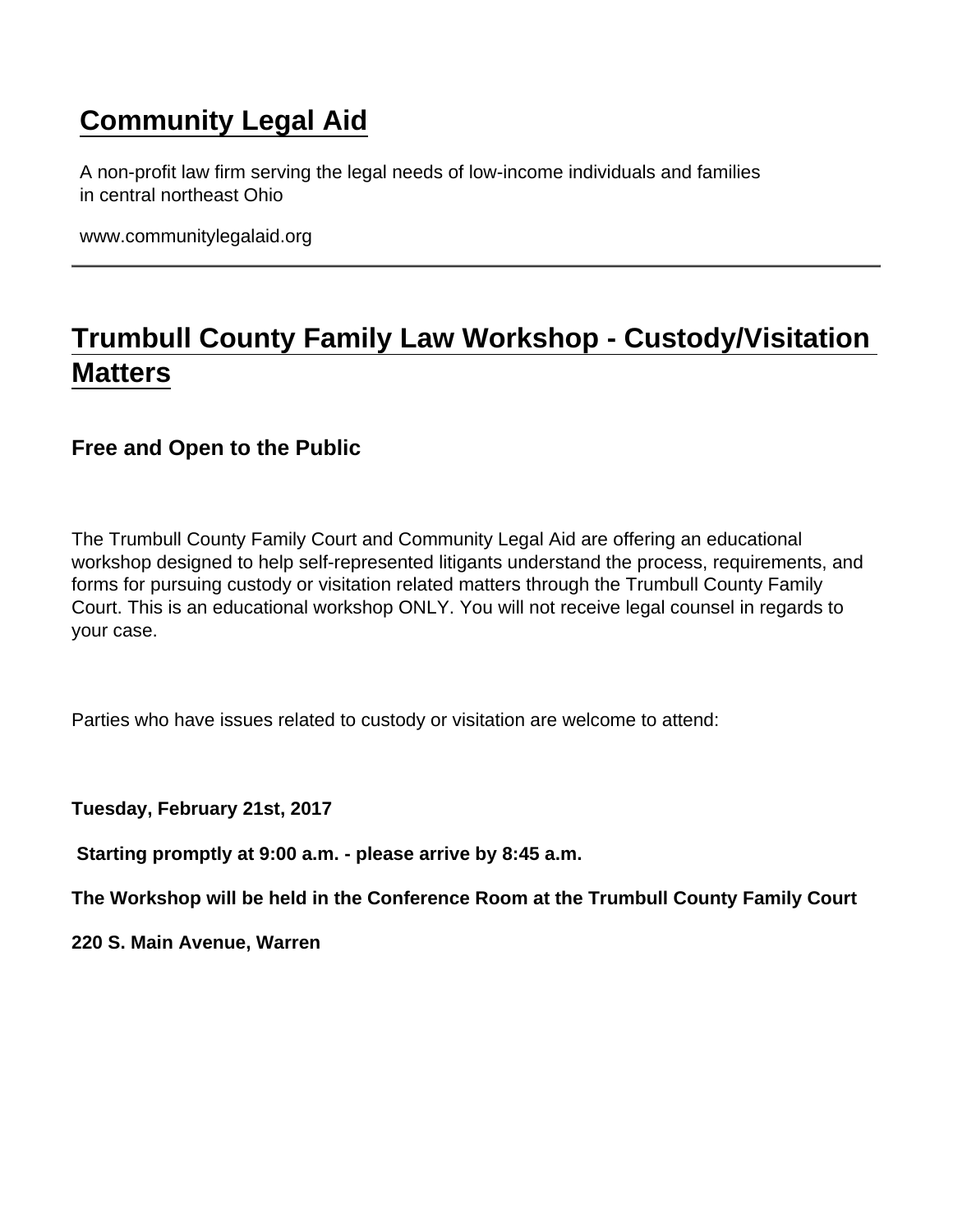## [Community Legal Aid](https://www.communitylegalaid.org/)

A non-profit law firm serving the legal needs of low-income individuals and families in central northeast Ohio

www.communitylegalaid.org

## [Trumbull County Family Law Workshop - Custody/Visitation](https://www.communitylegalaid.org/node/288/trumbull-county-family-law-workshop-custodyvisitation-matters)  **[Matters](https://www.communitylegalaid.org/node/288/trumbull-county-family-law-workshop-custodyvisitation-matters)**

Free and Open to the Public

The Trumbull County Family Court and Community Legal Aid are offering an educational workshop designed to help self-represented litigants understand the process, requirements, and forms for pursuing custody or visitation related matters through the Trumbull County Family Court. This is an educational workshop ONLY. You will not receive legal counsel in regards to your case.

Parties who have issues related to custody or visitation are welcome to attend:

Tuesday, February 21st, 2017

Starting promptly at 9:00 a.m. - please arrive by 8:45 a.m.

The Workshop will be held in the Conference Room at the Trumbull County Family Court

220 S. Main Avenue, Warren